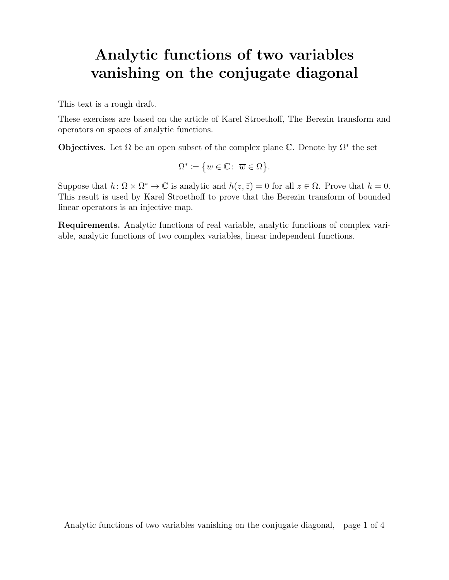## Analytic functions of two variables vanishing on the conjugate diagonal

This text is a rough draft.

These exercises are based on the article of Karel Stroethoff, The Berezin transform and operators on spaces of analytic functions.

**Objectives.** Let  $\Omega$  be an open subset of the complex plane  $\mathbb{C}$ . Denote by  $\Omega^*$  the set

$$
\Omega^* \coloneqq \{ w \in \mathbb{C} \colon \overline{w} \in \Omega \}.
$$

Suppose that  $h: \Omega \times \Omega^* \to \mathbb{C}$  is analytic and  $h(z, \bar{z}) = 0$  for all  $z \in \Omega$ . Prove that  $h = 0$ . This result is used by Karel Stroethoff to prove that the Berezin transform of bounded linear operators is an injective map.

Requirements. Analytic functions of real variable, analytic functions of complex variable, analytic functions of two complex variables, linear independent functions.

Analytic functions of two variables vanishing on the conjugate diagonal, page 1 of 4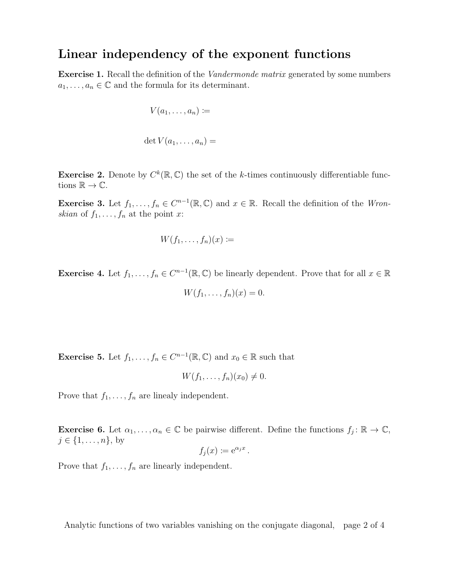## Linear independency of the exponent functions

**Exercise 1.** Recall the definition of the *Vandermonde matrix* generated by some numbers  $a_1, \ldots, a_n \in \mathbb{C}$  and the formula for its determinant.

$$
V(a_1,\ldots,a_n) \coloneqq
$$

 $\det V(a_1,\ldots,a_n)=$ 

**Exercise 2.** Denote by  $C^k(\mathbb{R}, \mathbb{C})$  the set of the k-times continuously differentiable functions  $\mathbb{R} \to \mathbb{C}$ .

**Exercise 3.** Let  $f_1, \ldots, f_n \in C^{n-1}(\mathbb{R}, \mathbb{C})$  and  $x \in \mathbb{R}$ . Recall the definition of the *Wron*skian of  $f_1, \ldots, f_n$  at the point x:

$$
W(f_1,\ldots,f_n)(x) \coloneqq
$$

**Exercise 4.** Let  $f_1, \ldots, f_n \in C^{n-1}(\mathbb{R}, \mathbb{C})$  be linearly dependent. Prove that for all  $x \in \mathbb{R}$ 

$$
W(f_1,\ldots,f_n)(x)=0.
$$

**Exercise 5.** Let  $f_1, \ldots, f_n \in C^{n-1}(\mathbb{R}, \mathbb{C})$  and  $x_0 \in \mathbb{R}$  such that

$$
W(f_1,\ldots,f_n)(x_0)\neq 0.
$$

Prove that  $f_1, \ldots, f_n$  are linealy independent.

**Exercise 6.** Let  $\alpha_1, \ldots, \alpha_n \in \mathbb{C}$  be pairwise different. Define the functions  $f_j : \mathbb{R} \to \mathbb{C}$ ,  $j \in \{1, ..., n\},\$ 

$$
f_j(x) \coloneqq e^{\alpha_j x}.
$$

Prove that  $f_1, \ldots, f_n$  are linearly independent.

Analytic functions of two variables vanishing on the conjugate diagonal, page 2 of 4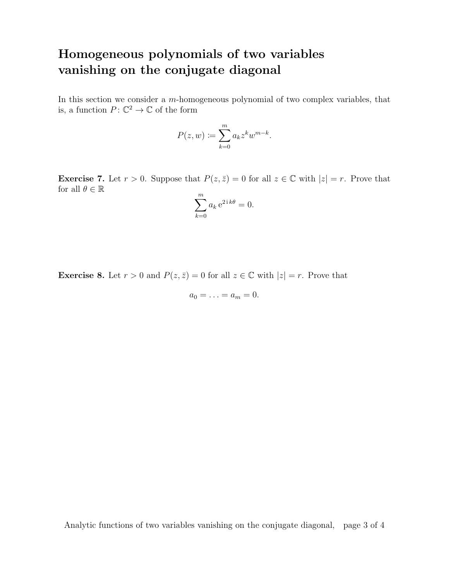## Homogeneous polynomials of two variables vanishing on the conjugate diagonal

In this section we consider a m-homogeneous polynomial of two complex variables, that is, a function  $P: \mathbb{C}^2 \to \mathbb{C}$  of the form

$$
P(z, w) := \sum_{k=0}^{m} a_k z^k w^{m-k}.
$$

**Exercise 7.** Let  $r > 0$ . Suppose that  $P(z, \bar{z}) = 0$  for all  $z \in \mathbb{C}$  with  $|z| = r$ . Prove that for all  $\theta \in \mathbb{R}$ 

$$
\sum_{k=0}^{m} a_k e^{2ik\theta} = 0.
$$

**Exercise 8.** Let  $r > 0$  and  $P(z, \bar{z}) = 0$  for all  $z \in \mathbb{C}$  with  $|z| = r$ . Prove that

$$
a_0=\ldots=a_m=0.
$$

Analytic functions of two variables vanishing on the conjugate diagonal, page 3 of 4